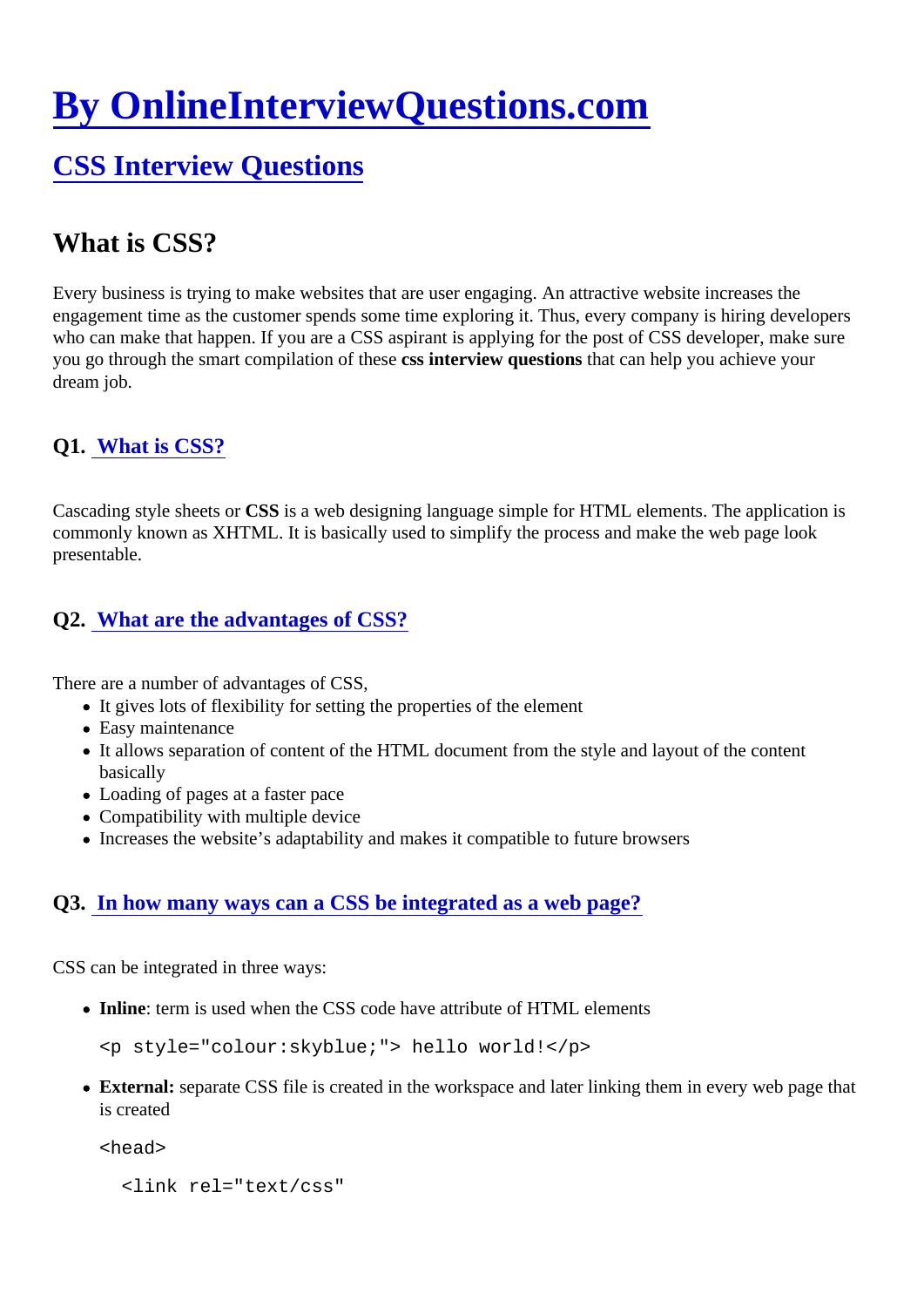# [By OnlineInterviewQuestions.com](https://www.onlineinterviewquestions.com/)

# [CSS Interview Questions](https://www.onlineinterviewquestions.com/css-interview-questions/)

# What is CSS?

Every business is trying to make websites that are user engaging. An attractive website increases the engagement time as the customer spends some time exploring it. Thus, every company is hiring developer who can make that happen. If you are a CSS aspirant is applying for the post of CSS developer, make sure you go through the smart compilation of these interview questions hat can help you achieve your dream job.

# Q1. [What is CSS?](https://www.onlineinterviewquestions.com/what-is-css/)

Cascading style sheets OSS is a web designing language simple for HTML elements. The application is commonly known as XHTML. It is basically used to simplify the process and make the web page look presentable.

# Q2. [What are the advantages of CSS](https://www.onlineinterviewquestions.com/what-are-the-advantages-of-css/)?

There are a number of advantages of CSS,

- It gives lots of flexibility for setting the properties of the element
- Easy maintenance
- It allows separation of content of the HTML document from the style and layout of the content basically
- Loading of pages at a faster pace
- Compatibility with multiple device
- Increases the website's adaptability and makes it compatible to future browsers

# Q3. [In how many ways can a CSS be integrated as a web pag](https://www.onlineinterviewquestions.com/many-ways-can-insert-css-html/)e?

CSS can be integrated in three ways:

• Inline: term is used when the CSS code have attribute of HTML elements

<p style="colour:skyblue;"> hello world!</p>

• External: separate CSS file is created in the workspace and later linking them in every web page that is created

<head>

<link rel="text/css"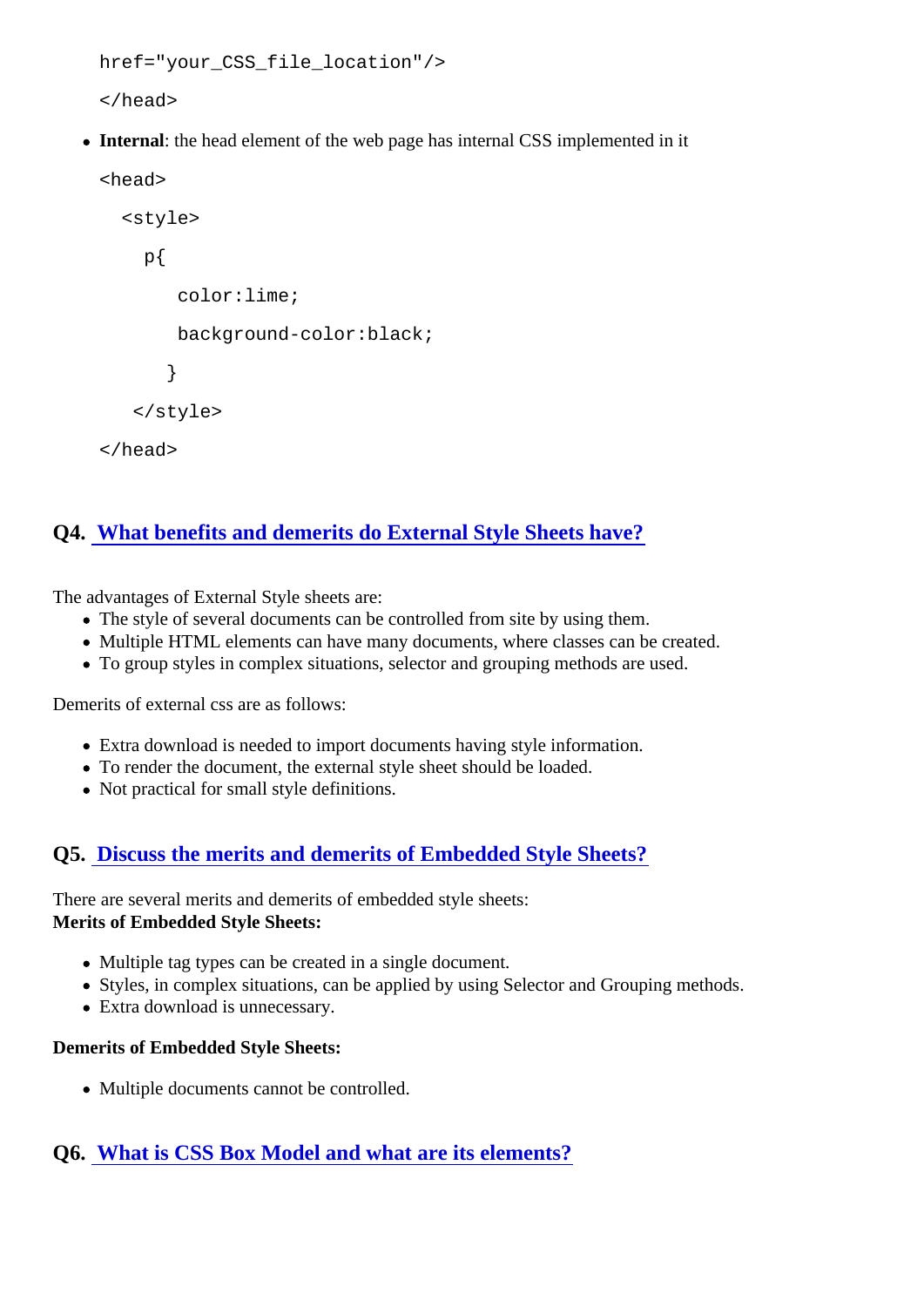```
href="your_CSS_file_location"/>
```
</head>

• Internal: the head element of the web page has internal CSS implemented in it

```
<head>
```
<style>

p{

color:lime;

background-color:black;

}

</style>

```
</head>
```
# Q4. [What benefits and demerits do External Style Sheets hav](https://www.onlineinterviewquestions.com/what-benefits-and-demerits-do-external-s/)e?

The advantages of External Style sheets are:

- The style of several documents can be controlled from site by using them.
- Multiple HTML elements can have many documents, where classes can be created.
- To group styles in complex situations, selector and grouping methods are used.

Demerits of external css are as follows:

- Extra download is needed to import documents having style information.
- To render the document, the external style sheet should be loaded.
- Not practical for small style definitions.

# Q5. [Discuss the merits and demerits of Embedded Style Shee](https://www.onlineinterviewquestions.com/discuss-the-merits-and-demerits-of-embed/)ts?

There are several merits and demerits of embedded style sheets: Merits of Embedded Style Sheets:

- Multiple tag types can be created in a single document.
- Styles, in complex situations, can be applied by using Selector and Grouping methods.
- Extra download is unnecessary.

Demerits of Embedded Style Sheets:

Multiple documents cannot be controlled.

# Q6. [What is CSS Box Model and what are its elements](https://www.onlineinterviewquestions.com/what-is-css-box-model-and-what-are-its-e/)?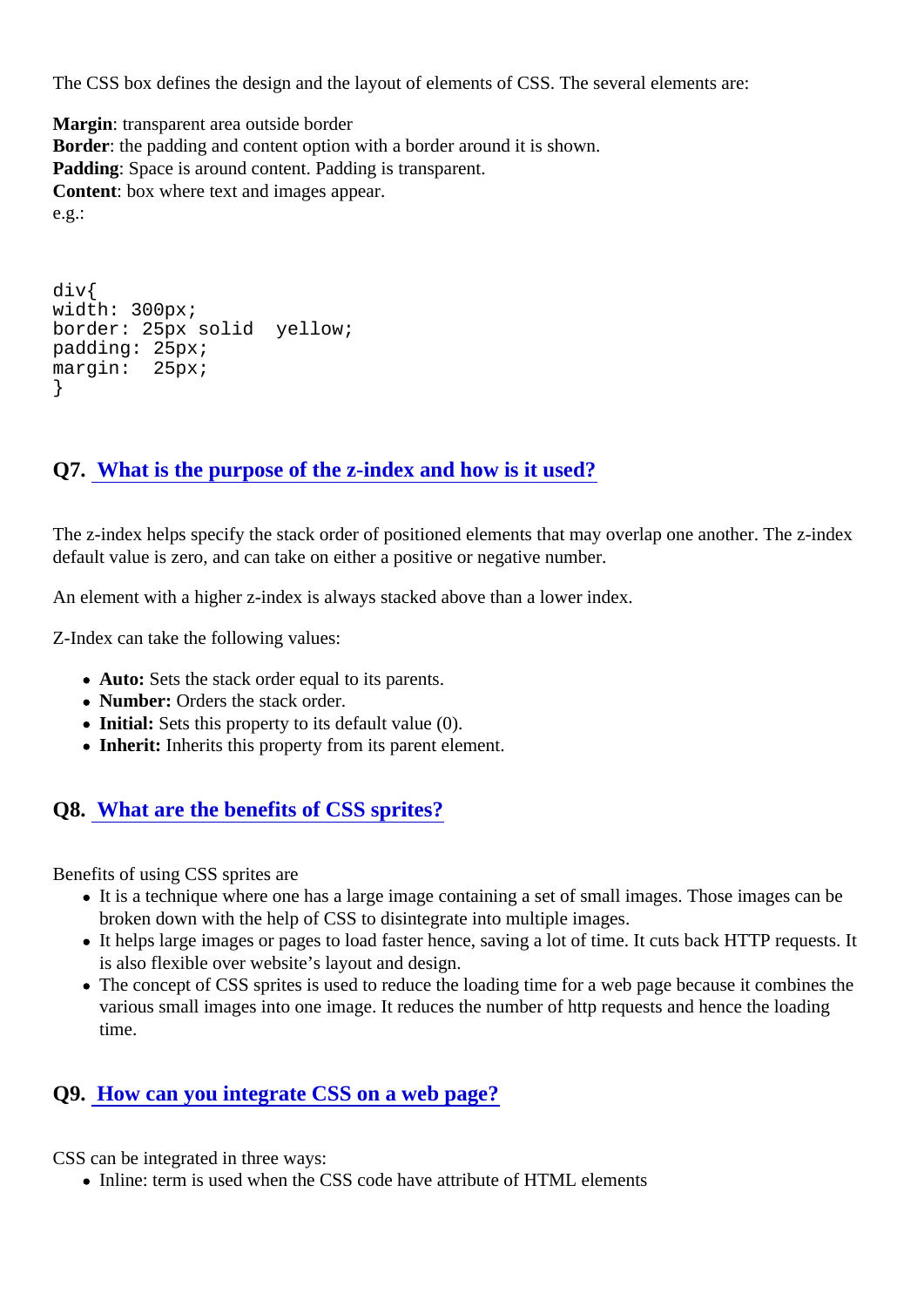The CSS box defines the design and the layout of elements of CSS. The several elements are:

Margin : transparent area outside border Border: the padding and content option with a border around it is shown. Padding: Space is around content. Padding is transparent. Content: box where text and images appear. e.g.:

div{ width: 300px; border: 25px solid yellow; padding: 25px; margin: 25px; }

#### Q7. [What is the purpose of the z-index and how is it used](https://www.onlineinterviewquestions.com/what-is-the-purpose-of-the-z-index-and-h/)?

The z-index helps specify the stack order of positioned elements that may overlap one another. The z-index default value is zero, and can take on either a positive or negative number.

An element with a higher z-index is always stacked above than a lower index.

Z-Index can take the following values:

- Auto: Sets the stack order equal to its parents.
- Number: Orders the stack order.
- Initial: Sets this property to its default value (0).
- Inherit: Inherits this property from its parent element.

#### Q8. [What are the benefits of CSS sprites](https://www.onlineinterviewquestions.com/what-are-the-benefits-of-css-sprites/)?

Benefits of using CSS sprites are

- It is a technique where one has a large image containing a set of small images. Those images can b broken down with the help of CSS to disintegrate into multiple images.
- It helps large images or pages to load faster hence, saving a lot of time. It cuts back HTTP requests. is also flexible over website's layout and design.
- The concept of CSS sprites is used to reduce the loading time for a web page because it combines to various small images into one image. It reduces the number of http requests and hence the loading time.

#### Q9. [How can you integrate CSS on a web pag](https://www.onlineinterviewquestions.com/how-can-you-integrate-css-on-a-web-page/)e?

CSS can be integrated in three ways:

• Inline: term is used when the CSS code have attribute of HTML elements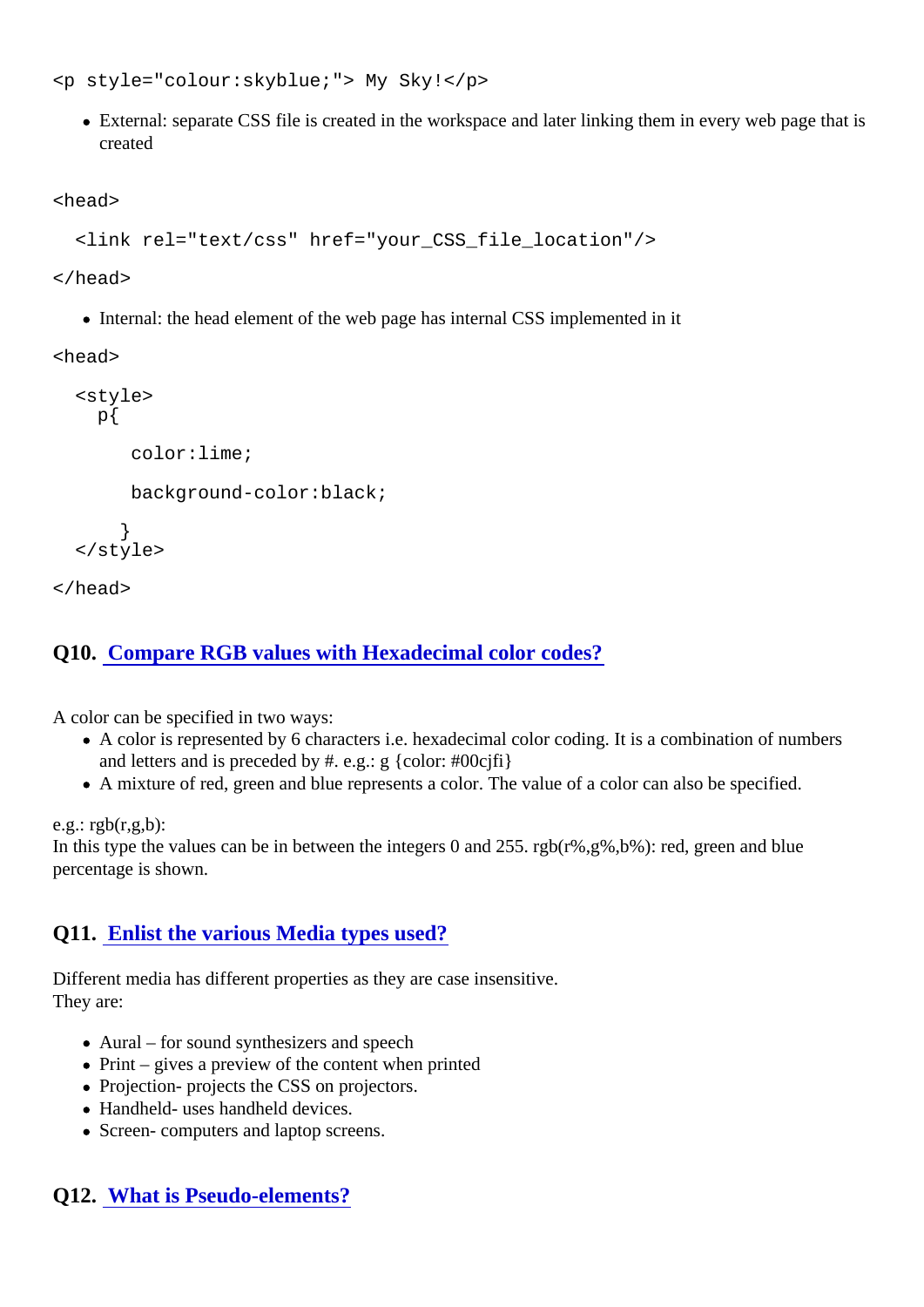<p style="colour:skyblue;"> My Sky!</p>

• External: separate CSS file is created in the workspace and later linking them in every web page that created

<head>

<link rel="text/css" href="your\_CSS\_file\_location"/>

</head>

• Internal: the head element of the web page has internal CSS implemented in it

<head>

 <style> p{

color:lime;

background-color:black;

```
 }
</style>
```
</head>

## Q10. [Compare RGB values with Hexadecimal color codes](https://www.onlineinterviewquestions.com/compare-rgb-values-with-hexadecimal-colo/)?

A color can be specified in two ways:

- A color is represented by 6 characters i.e. hexadecimal color coding. It is a combination of numbers and letters and is preceded by #. e.g.: g {color: #00cjfi}
- A mixture of red, green and blue represents a color. The value of a color can also be specified.

 $e.q.:$  rgb $(r,q,b):$ 

In this type the values can be in between the integers 0 and 255. rgb(r%,g%,b%): red, green and blue percentage is shown.

# Q11. [Enlist the various Media types used](https://www.onlineinterviewquestions.com/enlist-the-various-media-types-used/)?

Different media has different properties as they are case insensitive. They are:

- Aural for sound synthesizers and speech
- $\bullet$  Print gives a preview of the content when printed
- Projection- projects the CSS on projectors.
- Handheld- uses handheld devices.
- Screen- computers and laptop screens.

### Q12. [What is Pseudo-elements](https://www.onlineinterviewquestions.com/what-is-pseudo-elements/)?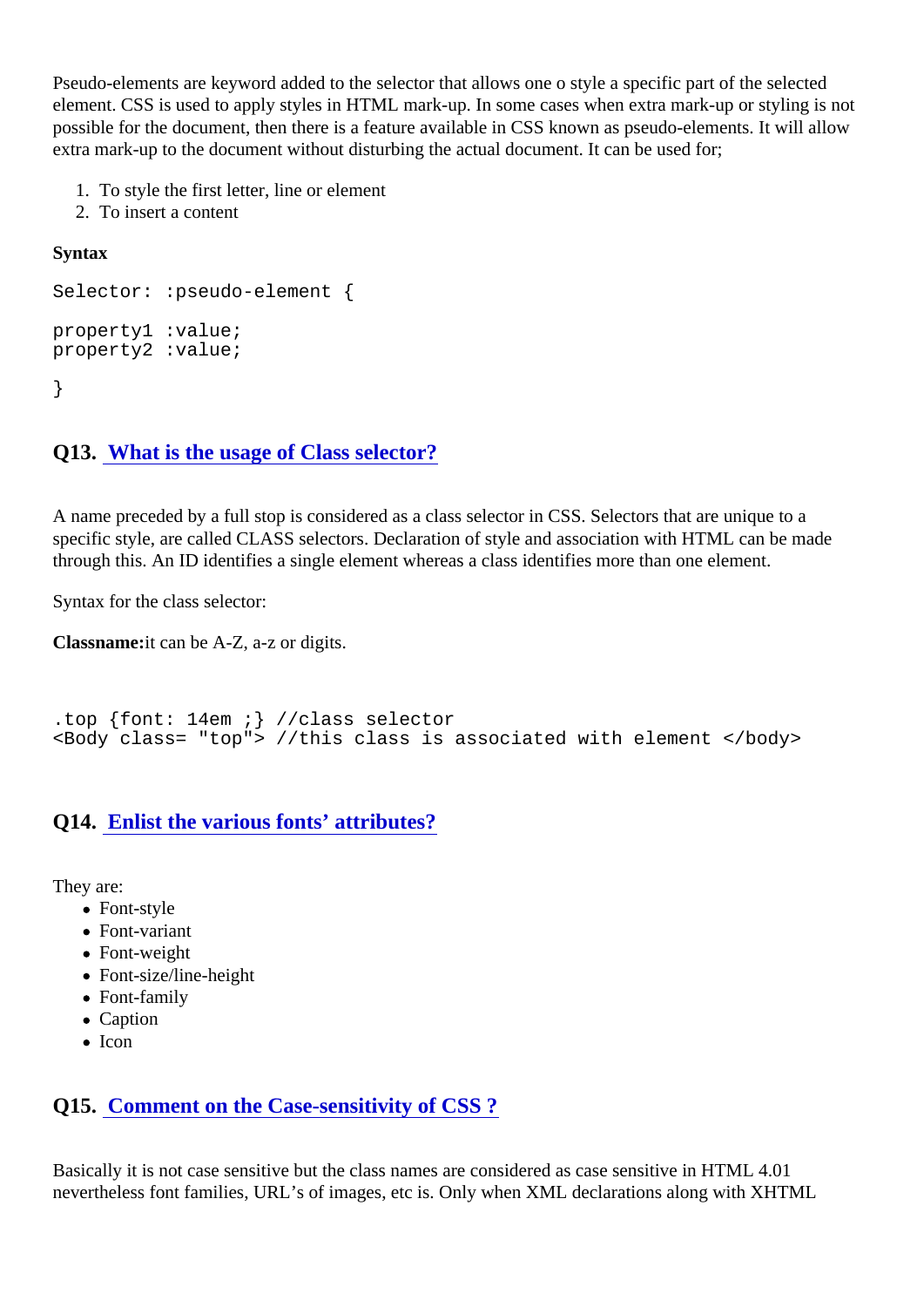Pseudo-elements are keyword added to the selector that allows one o style a specific part of the selected element. CSS is used to apply styles in HTML mark-up. In some cases when extra mark-up or styling is not possible for the document, then there is a feature available in CSS known as pseudo-elements. It will allow extra mark-up to the document without disturbing the actual document. It can be used for;

- 1. To style the first letter, line or element
- 2. To insert a content

**Syntax** 

Selector: :pseudo-element {

property1 :value; property2 :value;

}

#### Q13. [What is the usage of Class selecto](https://www.onlineinterviewquestions.com/what-is-the-usage-of-class-selector/)r?

A name preceded by a full stop is considered as a class selector in CSS. Selectors that are unique to a specific style, are called CLASS selectors. Declaration of style and association with HTML can be made through this. An ID identifies a single element whereas a class identifies more than one element.

Syntax for the class selector:

Classnameit can be A-Z, a-z or digits.

.top {font: 14em ;} //class selector <Body class= "top"> //this class is associated with element </body>

#### Q14. [Enlist the various fonts' attributes?](https://www.onlineinterviewquestions.com/enlist-the-various-fonts-attributes/)

They are:

- Font-style
- Font-variant
- Font-weight
- Font-size/line-height
- Font-family
- Caption
- $\bullet$  Icon

### Q15. [Comment on the Case-sensitivity of CSS](https://www.onlineinterviewquestions.com/comment-on-the-case-sensitivity-of-css/) ?

Basically it is not case sensitive but the class names are considered as case sensitive in HTML 4.01 nevertheless font families, URL's of images, etc is. Only when XML declarations along with XHTML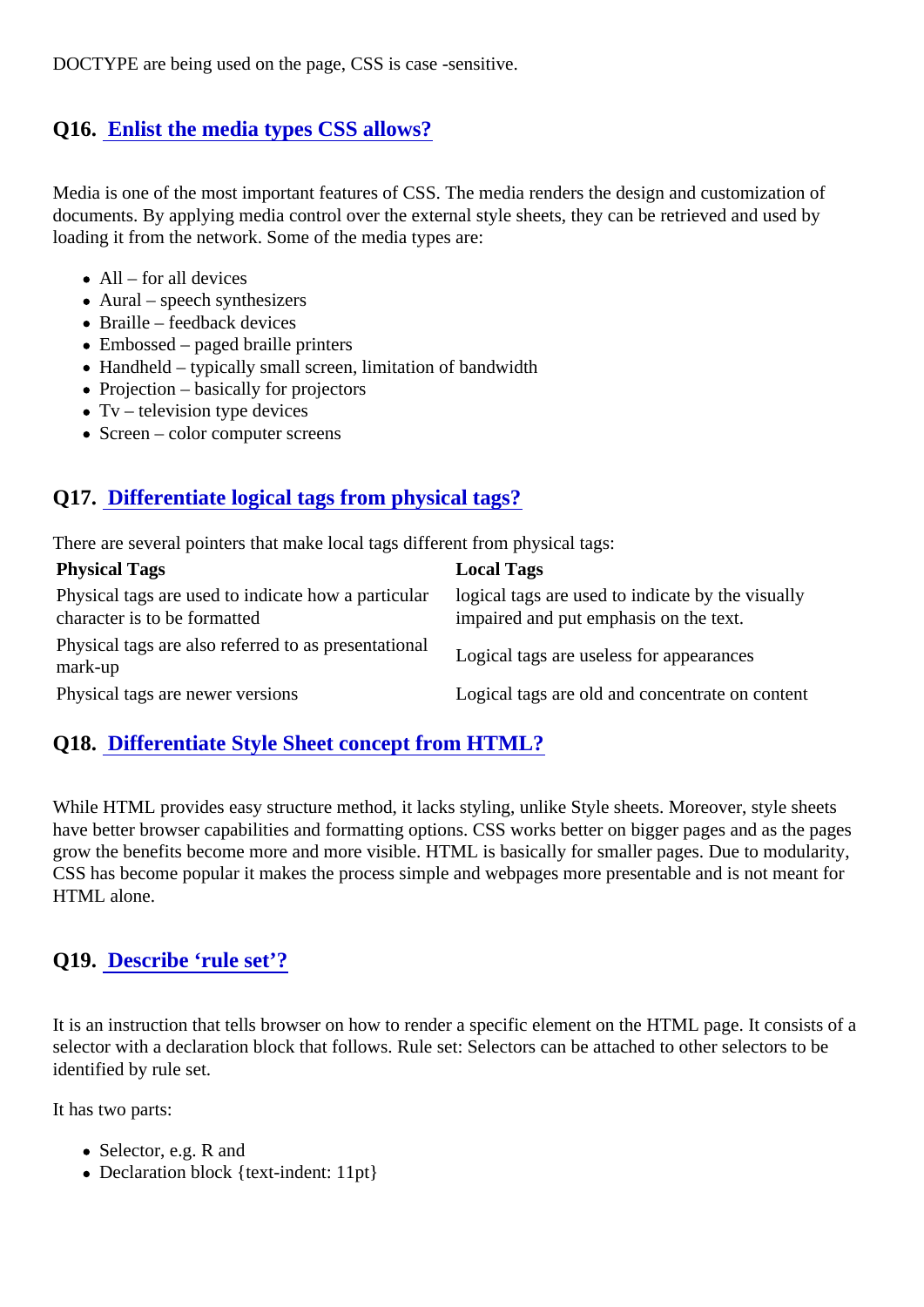DOCTYPE are being used on the page, CSS is case -sensitive.

# Q16. [Enlist the media types CSS allows](https://www.onlineinterviewquestions.com/enlist-the-media-types-css-allows/)?

Media is one of the most important features of CSS. The media renders the design and customization of documents. By applying media control over the external style sheets, they can be retrieved and used by loading it from the network. Some of the media types are:

- $\bullet$  All for all devices
- Aural speech synthesizers
- Braille feedback devices
- Embossed paged braille printers
- Handheld typically small screen, limitation of bandwidth
- Projection basically for projectors
- $\bullet$  Tv television type devices
- Screen color computer screens

# Q17. [Differentiate logical tags from physical tags?](https://www.onlineinterviewquestions.com/differentiate-logical-tags-from-physical/)

There are several pointers that make local tags different from physical tags:

Physical Tags **Local Tags** Local Tags Physical tags are used to indicate how a particulargical tags are used to indicate by the visually character is to be formatted impaired and put emphasis on the text.

Physical tags are also referred to as presentational mark-up Logical tags are useless for appearances

Physical tags are newer versions Logical tags are old and concentrate on content

### Q18. [Differentiate Style Sheet concept from HTML?](https://www.onlineinterviewquestions.com/differentiate-style-sheet-concept-from-h/)

While HTML provides easy structure method, it lacks styling, unlike Style sheets. Moreover, style sheets have better browser capabilities and formatting options. CSS works better on bigger pages and as the page grow the benefits become more and more visible. HTML is basically for smaller pages. Due to modularity, CSS has become popular it makes the process simple and webpages more presentable and is not meant HTML alone.

### Q19. [Describe 'rule set'?](https://www.onlineinterviewquestions.com/describe-rule-set/)

It is an instruction that tells browser on how to render a specific element on the HTML page. It consists of selector with a declaration block that follows. Rule set: Selectors can be attached to other selectors to be identified by rule set.

It has two parts:

- Selector, e.g. R and
- Declaration block {text-indent: 11pt}